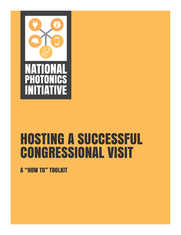

# HOSTING A SUCCESSFUL CONGRESSIONAL VISIT

A "HOW TO" TOOLKIT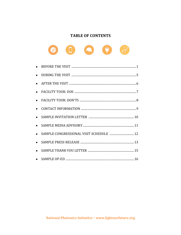# **TABLE OF CONTENTS**



| $\bullet$ |                                         |  |
|-----------|-----------------------------------------|--|
|           |                                         |  |
|           |                                         |  |
|           |                                         |  |
|           |                                         |  |
|           |                                         |  |
|           |                                         |  |
|           | SAMPLE CONGRESSIONAL VISIT SCHEDULE  12 |  |
| $\bullet$ |                                         |  |
|           |                                         |  |
|           |                                         |  |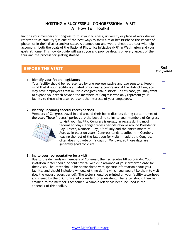# **HOSTING A SUCCESSFUL CONGRESSIONAL VISIT A "How To" Toolkit**

Inviting your members of Congress to tour your business, university or place of work (herein referred to as "facility") is one of the best ways to show him or her firsthand the impact of photonics in their district and/or state. A planned out and well-orchestrated tour will help accomplish both the goals of the National Photonics Initiative (NPI) in Washington and your goals at home. This how-to guide will assist you and provide details on every aspect of the tour and the process for getting started.

# **BEFORE THE VISIT**

# **1. Identify your federal legislators**

Your facility should be represented by one representative and two senators. Keep in mind that if your facility is situated on or near a congressional the district line, you may have employees from multiple congressional districts. In this case, you may want to expand your reach beyond the members of Congress who only represent your facility to those who also represent the interests of your employees.

# **2. Identify upcoming federal recess periods**

Members of Congress travel in and around their home districts during certain times of the year. These "recess" periods are the best time to invite your members of Congress



to visit your facility. Congress is usually in recess during most federal holidays. Longer recess periods revolve around Presidents' Day, Easter, Memorial Day,  $4<sup>th</sup>$  of July and the entire month of August. In election years, Congress tends to adjourn in October, leaving the rest of the fall open for visits. In addition, Congress often does not vote on Fridays or Mondays, so those days are generally good for visits.

# **3. Invite your representative for a visit**

Due to the demands on members of Congress, their schedules fill up quickly. Your invitation letter should be sent several weeks in advance of your preferred date for their visit. The letter should be personalized with specific information about your facility, and should include a window of time during which you would like them to visit (i.e. the August recess period). The letter should be printed on your facility letterhead and signed by the CEO, university president or equivalent. The letter should then be emailed to the member's scheduler. A sample letter has been included in the appendix of this toolkit.

#### **Task Completed**

 $\Box$ 

 $\Box$ 

 $\Box$ 

1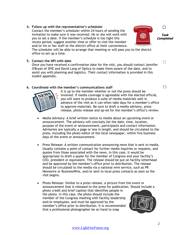# **4. Follow up with the representative's scheduler**

Contact the member's scheduler within 24 hours of sending the invitation to make sure it was received. He or she will work with you to set a date. If the member's schedule is too tight this recess period, suggest another time or offer to visit the member and/or his or her staff at the district office at their convenience.

The scheduler will be able to arrange that meeting or will pass you to the district office to set up a time.

# **5. Contact the NPI with date**

Once you have received a confirmation date for the visit, you should contact Jennifer O'Bryan of SPIE and David Lang of Optica to make them aware of the date, and to assist you with planning and logistics. Their contact information is provided in this toolkit appendix.

# **6. Coordinate with the member's communications staff**

- It is up to the member whether or not the press should be involved. If media coverage is agreeable with the elected official, you will want to produce a suite of media materials well in advance of the visit as it can often take days for a member's office to approve materials. Be sure to draft a media advisory, press release, photo release and op-ed for the member's office's review.
- Media Advisory: A brief written notice to media about an upcoming event or announcement. The advisory will concisely list the date, time, location, purpose of the event or announcement, participants and contact information. Advisories are typically a page or less in length, and should be circulated to the press, including the photo editor of the local newspaper, within five business days of the event or announcement.
- Press Release: A written communication announcing news that is sent to media. Usually contains a point of contact for further media inquiries or requests, and quotes from those associated with the news. In this case, it would be appropriate to draft a quote for the member of Congress and your facility's CEO, president or equivalent. The release should be put on facility letterhead and be approved by the member's office prior to distribution. The release should be circulated to the media via a national wire service, such as PR Newswire or BusinessWire, and/or sent to local press contacts as soon as the visit begins.
- Photo Release: Similar to a press release, a picture from the event or announcement that is released to the press for publication. Should include a photo credit and brief caption that identifies people in the photo. In this case, the photo should include the member of the Congress meeting with facility leadership and/or employees, and must be approved by the member's office prior to distribution. It is recommended that a professional photographer be on hand to snap





 $\Box$ 

 $\Box$ 

 $\Box$ 

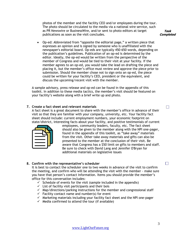photos of the member and the facility CEO and/or employees during the tour. The photo should be circulated to the media via a national wire service, such as PR Newswire or BusinessWire, and/or sent to photo editors at target publications as soon as the visit concludes.

**Task Completed**

 $\Box$ 

 $\Box$ 

 Op-ed: Abbreviated from "opposite the editorial page," a written piece that expresses an opinion and is signed by someone who is unaffiliated with the newspaper's editorial board. Op-eds are typically 450-650 words, depending on the publication's guidelines. Publication of an op-ed is determined by the editor. Ideally, the op-ed would be written from the perspective of the member of Congress and would be tied to their visit at your facility. If the member agrees to an op-ed, you would take the lead on drafting the piece and placing it, but the member's office must review and approve the piece prior to submission. Should the member chose not to sign onto an op-ed, the piece could be written for your facility's CEO, president or the equivalent, and discuss the upcoming/recent visit with the member.

A sample advisory, press release and op-ed can be found in the appendix of this toolkit. In addition to these media tactics, the member's visit should be featured on your facility's website along with a brief write up and photo.

#### **7. Create a fact sheet and relevant materials**

A fact sheet is a great document to share with the member's office in advance of their visit so that they are familiar with your company, university, etc. Your facility fact sheet should include: current employment numbers, your economic footprint on state/district, interesting facts about your facility, and positive testimonials of current



employees, community leaders, faculty, etc. The fact sheet should also be given to the member along with the NPI one-pager, found in the appendix of this toolkit, as "take away" materials from the visit. Other take away materials and gifts can also be presented to the member at the conclusion of their visit. Be aware that Congress has a \$50 limit on gifts to members and staff. Be sure to check with David Lang and Jennifer O'Bryan for additional materials on legislative issues

# **8. Confirm with the representative's scheduler**

It is best to contact the scheduler one to two weeks in advance of the visit to confirm the meeting, and confirm who will be attending the visit with the member - make sure you have that person's contact information. Items you should provide the member's office for this conversation includes:

- $\checkmark$  Schedule of events for the visit (sample included in the appendix)
- $\checkmark$  List of facility visit participants and their bois
- $\checkmark$  Map/directions/parking instructions for the member and congressional staff
- $\checkmark$  Facility contact name and number(s) for event
- $\checkmark$  Marketing materials including your facility fact sheet and the NPI one-pager
- $\checkmark$  Media confirmed to attend the tour (if available)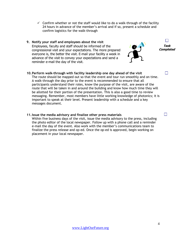- $\checkmark$  Confirm whether or not the staff would like to do a walk-through of the facility 24 hours in advance of the member's arrival and if so, present a schedule and confirm logistics for the walk-through
- **9. Notify your staff and employees about the visit** Employees, faculty and staff should be informed of the congressional visit and your expectations. The more prepared everyone is, the better the visit. E-mail your facility a week in advance of the visit to convey your expectations and send a reminder e-mail the day of the visit.



#### **11.Issue the media advisory and finalize other press materials**

Within five business days of the visit, issue the media advisory to the press, including the photo editor of the local newspaper. Follow up with a phone call and a reminder e-mail the day of the event. Also work with the member's communications team to finalize the press release and op-ed. Once the op-ed is approved, begin working on placement in your local newspaper.

**Task Completed**

П

 $\Box$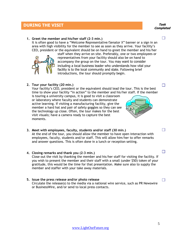#### [www.LightOurFuture.org](http://www.lightourfuture.org/)

# **1. Greet the member and his/her staff (2-3 min.)**

It is often good to have a "Welcome Representative/Senator X" banner or a sign in an area with high visibility for the member to see as soon as they arrive. Your facility's CEO, president or the equivalent should be on hand to greet the member and his/her

staff when they arrive on site. Preferably, one or two employees or representatives from your facility should also be on hand to accompany the group on the tour. You may want to consider including a local business leader who understands how vital your facility is to the local community and state. Following brief introductions, the tour should promptly begin.

**2. Tour your facility (20 min.)**

Your facility's CEO, president or the equivalent should lead the tour. This is the best time to show your facility "in action" to the member and his/her staff. If the member

is touring a university campus, it is good to visit a classroom or laboratory where faculty and students can demonstrate active learning. If visiting a manufacturing facility, give the member a hard hat and pair of safety goggles so they can see the technology up close. Often, the tour makes for the best visit visuals; have a camera ready to capture the best moments.

- **3. Meet with employees, faculty, students and/or staff (30 min.)** At the end of the tour, you should allow the member to have open interaction with employees, faculty, students and/or staff. This will allow him/her to offer remarks and answer questions. This is often done in a lunch or reception setting.
- **4. Closing remarks and thank you (2-3 min.)** Close out the visit by thanking the member and his/her staff for visiting the facility. If you wish to present the member and their staff with a small (under \$50) token of your gratitude, this would be the time for that presentation. Make sure also to supply the member and staffer with your take away materials.
- **5. Issue the press release and/or photo release** Circulate the release(s) to the media via a national wire service, such as PR Newswire or BusinessWire, and/or send to local press contacts.





**DURING THE VISIT**

#### **Task Completed**

 $\Box$ 



 $\Box$ 

 $\Box$ 

 $\Box$ 

5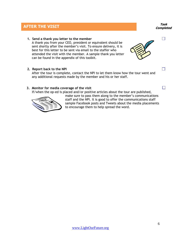# **AFTER THE VISIT Task**

**1. Send a thank you letter to the member**

A thank you from your CEO, president or equivalent should be sent shortly after the member's visit. To ensure delivery, it is best for this letter to be sent via email to the staffer who attended the visit with the member. A sample thank you letter can be found in the appendix of this toolkit.

#### **2. Report back to the NPI**

After the tour is complete, contact the NPI to let them know how the tour went and any additional requests made by the member and his or her staff.

#### **3. Monitor for media coverage of the visit**

If/when the op-ed is placed and/or positive articles about the tour are published,



make sure to pass them along to the member's communications staff and the NPI. It is good to offer the communications staff sample Facebook posts and Tweets about the media placements to encourage them to help spread the word.

**Completed**

П

 $\Box$ 

П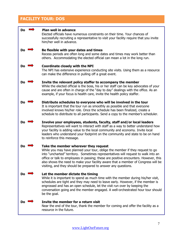# **FACILITY TOUR: DOS**

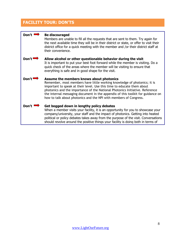# **FACILITY TOUR: DON'TS**

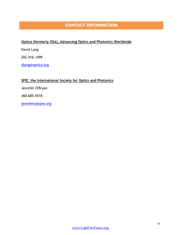# **CONTACT INFORMATION**

# **Optica (formerly OSA), Advancing Optics and Photonics Worldwide**

David Lang

202.416.1499

dlang@optica.org

# **SPIE, the International Society for Optics and Photonics**

Jennifer O'Bryan

360.685.5518

jennifero@spie.org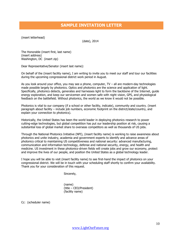# **SAMPLE INVITATION LETTER**

(insert letterhead)

(date), 2014

The Honorable (insert first, last name) (insert address) Washington, DC (insert zip)

Dear Representative/Senator (insert last name):

On behalf of the (insert facility name), I am writing to invite you to meet our staff and tour our facilities during the upcoming congressional district work period in August.

As you look around your office, you may see a phone, computer, TV – all are modern-day technologies made possible largely by photonics. Optics and photonics are the science and application of light. Specifically, photonics detects, generates and harnesses light to form the backbone of the Internet, guide energy exploration, and keep our servicemen and women safe with night vision, GPS, and physiological feedback on the battlefield. Without photonics, the world as we know it would not be possible.

Photonics is vital to our company (if a school or other facility, indicate), community and country. (insert paragraph about facility – include job numbers, economic footprint on the district/state/country, and explain your connection to photonics).

Historically, the United States has been the world leader in deploying photonics research to power cutting-edge technologies, but global competition has put our leadership position at risk, causing a substantial loss of global market share to overseas competitors as well as thousands of US jobs.

Through the National Photonics Initiative (NPI), (insert facility name) is working to raise awareness about photonics and unite industry, academia and government experts to identify and advance areas of photonics critical to maintaining US competitiveness and national security: advanced manufacturing, communication and information technology, defense and national security, energy, and health and medicine. US investment in these photonics-driven fields will create jobs and grow our economy, protect and improve the lives of our people, and position the United States as a global technology leader.

I hope you will be able to visit (insert facility name) to see first-hand the impact of photonics on your congressional district. We will be in touch with your scheduling staff shortly to confirm your availability. Thank you for your consideration of this request.

Sincerely,

(name) (title – CEO/President) (facility name)

Cc: (scheduler name)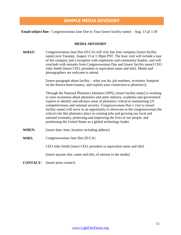# **SAMPLE MEDIA ADVISORY**

**Email subject line:** Congresswoman Jane Doe to Tour [insert facility name] – Aug. 13 @ 1:30

#### **MEDIA ADVISORY**

WHAT: Congresswoman Jane Doe (D-CA) will visit San Jose company [insert facility name] next Tuesday, August 13 at 1:30pm PST. The hour visit will include a tour of the company and a reception with employees and community leaders, and will conclude with remarks from Congresswoman Doe and [insert facility name] CEO John Smith [insert CEO, president or equivalent name and title]. Media and photographers are welcome to attend.

> [insert paragraph about facility – what you do, job numbers, economic footprint on the district/state/country, and explain your connection to photonics].

Through the National Photonics Initiative (NPI), [insert facility name] is working to raise awareness about photonics and unite industry, academia and government experts to identify and advance areas of photonics critical to maintaining US competitiveness and national security. Congresswoman Doe's visit to [insert facility name] will serve as an opportunity to showcase to the congresswoman the critical role that photonics plays in creating jobs and growing our local and national economy, protecting and improving the lives of our people, and positioning the United States as a global technology leader.

- WHEN: [insert date, time, location including address]
- **WHO:** Congresswoman Jane Doe (D-CA)

CEO John Smith [insert CEO, president or equivalent name and title]

[insert anyone else, name and title, of interest to the media]

**CONTACT:** [insert press contact]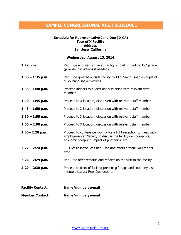# **SAMPLE CONGRESSIONAL VISIT SCHEDULE**

#### **Schedule for Representative Jane Doe (D-CA) Tour of X Facility Address San Jose, California**

# **Wednesday, August 13, 2014**

| 1:29 p.m.                | Rep. Doe and staff arrive at Facility X; park in parking lot/garage<br>(provide instructions if needed)                                                                           |
|--------------------------|-----------------------------------------------------------------------------------------------------------------------------------------------------------------------------------|
| $1:30 - 1:35$ p.m.       | Rep. Doe greeted outside facility by CEO Smith; snap a couple of<br>quick hand shake pictures                                                                                     |
| $1:35 - 1:40$ p.m.       | Proceed indoors to X location; discussion with relevant staff<br>member                                                                                                           |
| $1:40 - 1:45$ p.m.       | Proceed to X location; discussion with relevant staff member                                                                                                                      |
| $1:45 - 1:50$ p.m.       | Proceed to X location; discussion with relevant staff member                                                                                                                      |
| $1:50 - 1:55$ p.m.       | Proceed to X location; discussion with relevant staff member                                                                                                                      |
| $1:55 - 2:00$ p.m.       | Proceed to X location; discussion with relevant staff member                                                                                                                      |
| $2:00 - 2:20$ p.m.       | Proceed to conference room X for a light reception to meet with<br>employees/staff/faculty to discuss the facility demographics,<br>economic footprint, impact of photonics, etc. |
| $2:22 - 2:24$ p.m.       | CEO Smith introduces Rep. Doe and offers a thank you for her<br>time                                                                                                              |
| $2:24 - 2:29$ p.m.       | Rep. Doe offer remarks and reflects on the visit to the facility                                                                                                                  |
| $2:29 - 2:30$ p.m.       | Proceed to front of facility; present gift bags and snap any last<br>minute pictures; Rep. Doe departs                                                                            |
| <b>Facility Contact:</b> | Name/number/e-mail                                                                                                                                                                |
| <b>Member Contact:</b>   | Name/number/e-mail                                                                                                                                                                |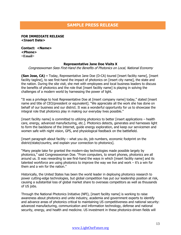# **SAMPLE PRESS RELEASE**

#### **FOR IMMEDIATE RELEASE <Insert Date>**

**Contact: <Name> <Phone> <Email>**

#### **Representative Jane Doe Visits X**

Congresswoman Sees First-Hand the Benefits of Photonics on Local, National Economy

**(San Jose, CA) –** Today, Representative Jane Doe (D-CA) toured [insert facility name], [insert facility tagline], to see first-hand the impact of photonics on [insert city name], the state and the nation. During the site visit, she met with employees and local business leaders to discuss the benefits of photonics and the role that [insert facility name] is playing in solving the challenges of a modern world by harnessing the power of light.

"It was a privilege to host Representative Doe at [insert company name] today," stated [insert name and title of CEO/president or equivalent]. "We appreciate all the work she has done on behalf of our business and our district. It was a wonderful opportunity for us to showcase the integral role that photonics play in making our everyday lives possible."

[insert facility name] is committed to utilizing photonics to better [insert applications – health care, energy, advanced manufacturing, etc.]. Photonics detects, generates and harnesses light to form the backbone of the Internet, guide energy exploration, and keep our servicemen and women safe with night vision, GPS, and physiological feedback on the battlefield.

 $[insert paragraph about facility – what you do, job numbers, economic footprint on the$ district/state/country, and explain your connection to photonics].

"Many people take for granted the modern-day technologies made possible largely by photonics," said Congresswoman Doe. "From computers, to smart phones, photonics are all around us. It was rewarding to see first-hand the ways in which [insert facility name] and its talented workforce are using photonics to improve the way we live and work – it's a win for them and a win for the nation."

Historically, the United States has been the world leader in deploying photonics research to power cutting-edge technologies, but global competition has put our leadership position at risk, causing a substantial loss of global market share to overseas competitors as well as thousands of US jobs.

Through the National Photonics Initiative (NPI), [insert facility name] is working to raise awareness about photonics and unite industry, academia and government experts to identify and advance areas of photonics critical to maintaining US competitiveness and national security: advanced manufacturing, communication and information technology, defense and national security, energy, and health and medicine. US investment in these photonics-driven fields will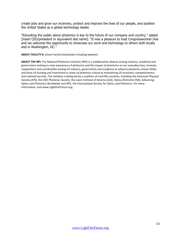create jobs and grow our economy, protect and improve the lives of our people, and position the United States as a global technology leader.

"Educating the public about photonics is key to the future of our company and country," added [insert CEO/president or equivalent last name]. "It was a pleasure to host Congresswoman Doe and we welcome the opportunity to showcase our work and technology to others both locally and in Washington, DC."

**ABOUT FACILITY X:** [insert facility boilerplate including website]

**ABOUT THE NPI:** The National Photonics Initiative (NPI) is a collaborative alliance among industry, academia and government seeking to raise awareness of photonics and the impact of photonics on our everyday lives; increase cooperation and coordination among US industry, government and academia to advance photonics-driven fields; and drive US funding and investment in areas of photonics critical to maintaining US economic competitiveness and national security. The initiative is being led by a coalition of scientific societies, including the American Physical Society (APS), the IEEE Photonics Society, the Laser Institute of America (LIA), Optica (formerly OSA), Advancing Optics and Photonics Worldwide and SPIE, the International Society for Optics and Photonics. For more information, visit www.LightOurFuture.org.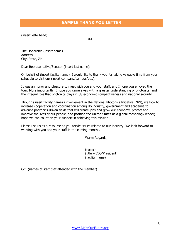# **SAMPLE THANK YOU LETTER**

(insert letterhead)

DATE

The Honorable (insert name) Address City, State, Zip

Dear Representative/Senator (insert last name):

On behalf of (insert facility name), I would like to thank you for taking valuable time from your schedule to visit our (insert company/campus/etc.).

It was an honor and pleasure to meet with you and your staff, and I hope you enjoyed the tour. More importantly, I hope you came away with a greater understanding of photonics, and the integral role that photonics plays in US economic competitiveness and national security.

Though (insert facility name)'s involvement in the National Photonics Initiative (NPI), we look to increase cooperation and coordination among US industry, government and academia to advance photonics-driven fields that will create jobs and grow our economy, protect and improve the lives of our people, and position the United States as a global technology leader; I hope we can count on your support in achieving this mission.

Please use us as a resource as you tackle issues related to our industry. We look forward to working with you and your staff in the coming months.

Warm Regards,

(name) (title – CEO/President) (facility name)

Cc: (names of staff that attended with the member)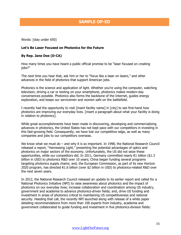# **SAMPLE OP-ED**

Words: [stay under 650]

#### **Let's Be Laser Focused on Photonics for the Future**

#### **By Rep. Jane Doe (D-CA)**

How many times you have heard a public official promise to be "laser focused on creating jobs?"

The next time you hear that, ask him or her to "focus like a laser on lasers," and other advances in the field of photonics that support American jobs.

Photonics is the science and application of light. Whether you're using the computer, watching television, driving a car or texting on your smartphone, photonics makes modern-day conveniences possible. Photonics also forms the backbone of the Internet, guides energy exploration, and keeps our servicemen and women safe on the battlefield.

I recently had the opportunity to visit [insert facility name] in [city] to see first-hand how photonics are improving our everyday lives. [insert a paragraph about what your facility is doing in relation to photonics].

While great accomplishments have been made in discovering, developing and commercializing advances in photonics, the United States has not kept pace with our competitors in investing in this fast-growing field. Consequently, we have lost our competitive edge, as well as many companies and jobs to our competitors overseas.

We know what we must do – and why it is so important. In 1998, the National Research Council released a report, "Harnessing Light," presenting the potential advantages of optics and photonics on major sectors of the economy. Unfortunately, the US did not seize these opportunities, while our competitors did. In 2011, Germany committed nearly €1 billion (\$1.3 billion in USD) to photonics R&D over 10 years; China began funding several programs targeting photonics supply chains; and, the European Commission, as part of its new Horizon 2020 program, has directed €1.6 billion (over \$2 billion in USD) to photonics-related R&D over the next seven years.

In 2012, the National Research Council released an update to its earlier report and called for a National Photonics Initiative (NPI) to raise awareness about photonics and the impact of photonics on our everyday lives; increase collaboration and coordination among US industry, government and academia to advance photonics-driven fields; and, drive US funding and investment in areas of photonics critical to maintaining US competitiveness and national security. Heeding that call, the recently NPI launched along with release of a white paper detailing recommendations from more than 100 experts from industry, academia and government collaborated to guide funding and investment in five photonics-division fields: